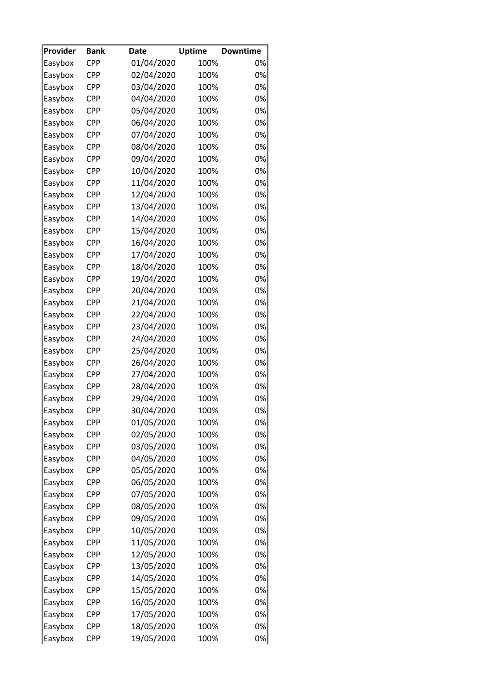| Provider | <b>Bank</b> | <b>Date</b> | <b>Uptime</b> | <b>Downtime</b> |
|----------|-------------|-------------|---------------|-----------------|
| Easybox  | <b>CPP</b>  | 01/04/2020  | 100%          | 0%              |
| Easybox  | <b>CPP</b>  | 02/04/2020  | 100%          | 0%              |
| Easybox  | <b>CPP</b>  | 03/04/2020  | 100%          | 0%              |
| Easybox  | <b>CPP</b>  | 04/04/2020  | 100%          | 0%              |
| Easybox  | <b>CPP</b>  | 05/04/2020  | 100%          | 0%              |
| Easybox  | <b>CPP</b>  | 06/04/2020  | 100%          | 0%              |
| Easybox  | CPP         | 07/04/2020  | 100%          | 0%              |
| Easybox  | CPP         | 08/04/2020  | 100%          | 0%              |
| Easybox  | CPP         | 09/04/2020  | 100%          | 0%              |
| Easybox  | <b>CPP</b>  | 10/04/2020  | 100%          | 0%              |
| Easybox  | <b>CPP</b>  | 11/04/2020  | 100%          | 0%              |
| Easybox  | CPP         | 12/04/2020  | 100%          | 0%              |
| Easybox  | <b>CPP</b>  | 13/04/2020  | 100%          | 0%              |
| Easybox  | <b>CPP</b>  | 14/04/2020  | 100%          | 0%              |
| Easybox  | <b>CPP</b>  | 15/04/2020  | 100%          | 0%              |
| Easybox  | <b>CPP</b>  | 16/04/2020  | 100%          | 0%              |
| Easybox  | CPP         | 17/04/2020  | 100%          | 0%              |
| Easybox  | <b>CPP</b>  | 18/04/2020  | 100%          | 0%              |
| Easybox  | <b>CPP</b>  | 19/04/2020  | 100%          | 0%              |
| Easybox  | <b>CPP</b>  | 20/04/2020  | 100%          | 0%              |
| Easybox  | CPP         | 21/04/2020  | 100%          | 0%              |
| Easybox  | <b>CPP</b>  | 22/04/2020  | 100%          | 0%              |
| Easybox  | <b>CPP</b>  | 23/04/2020  | 100%          | 0%              |
| Easybox  | <b>CPP</b>  | 24/04/2020  | 100%          | 0%              |
| Easybox  | <b>CPP</b>  | 25/04/2020  | 100%          | 0%              |
| Easybox  | CPP         | 26/04/2020  | 100%          | 0%              |
| Easybox  | <b>CPP</b>  | 27/04/2020  | 100%          | 0%              |
| Easybox  | <b>CPP</b>  | 28/04/2020  | 100%          | 0%              |
| Easybox  | <b>CPP</b>  | 29/04/2020  | 100%          | 0%              |
| Easybox  | <b>CPP</b>  | 30/04/2020  | 100%          | 0%              |
| Easybox  | <b>CPP</b>  | 01/05/2020  | 100%          | 0%              |
| Easybox  | <b>CPP</b>  | 02/05/2020  | 100%          | 0%              |
| Easybox  | CPP         | 03/05/2020  | 100%          | 0%              |
| Easybox  | <b>CPP</b>  | 04/05/2020  | 100%          | 0%              |
| Easybox  | CPP         | 05/05/2020  | 100%          | 0%              |
| Easybox  | <b>CPP</b>  | 06/05/2020  | 100%          | 0%              |
| Easybox  | <b>CPP</b>  | 07/05/2020  | 100%          | 0%              |
| Easybox  | CPP         | 08/05/2020  | 100%          | 0%              |
| Easybox  | CPP         | 09/05/2020  | 100%          | 0%              |
| Easybox  | CPP         | 10/05/2020  | 100%          | 0%              |
|          |             |             |               | 0%              |
| Easybox  | <b>CPP</b>  | 11/05/2020  | 100%          |                 |
| Easybox  | CPP         | 12/05/2020  | 100%          | 0%<br>0%        |
| Easybox  | CPP         | 13/05/2020  | 100%          |                 |
| Easybox  | CPP         | 14/05/2020  | 100%          | 0%              |
| Easybox  | CPP         | 15/05/2020  | 100%          | 0%              |
| Easybox  | CPP         | 16/05/2020  | 100%          | 0%              |
| Easybox  | <b>CPP</b>  | 17/05/2020  | 100%          | 0%              |
| Easybox  | <b>CPP</b>  | 18/05/2020  | 100%          | 0%              |
| Easybox  | <b>CPP</b>  | 19/05/2020  | 100%          | 0%              |